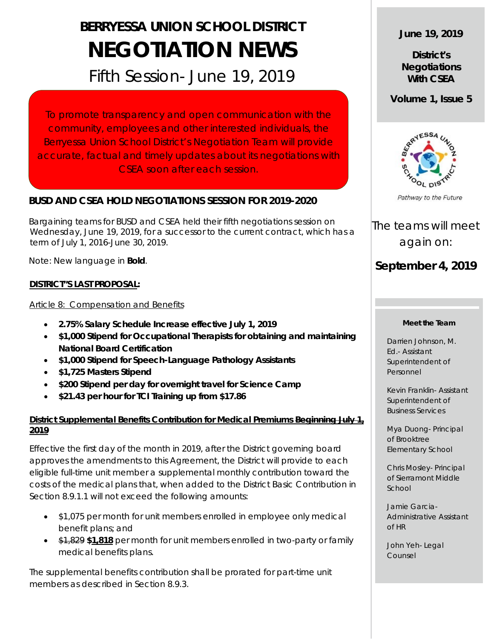# **BERRYESSA UNION SCHOOL DISTRICT NEGOTIATION NEWS**

## Fifth Session- June 19, 2019

To promote transparency and open communication with the community, employees and other interested individuals, the Berryessa Union School District's Negotiation Team will provide accurate, factual and timely updates about its negotiations with CSEA soon after each session.

#### **BUSD AND CSEA HOLD NEGOTIATIONS SESSION FOR 2019-2020**

 Bargaining teams for BUSD and CSEA held their fifth negotiations session on Wednesday, June 19, 2019, for a successor to the current contract, which has a term of July 1, 2016-June 30, 2019.

Note: New language in **Bold**.

#### **DISTRICT"S LAST PROPOSAL:**

#### Article 8: Compensation and Benefits

- **2.75% Salary Schedule Increase effective July 1, 2019**
- **\$1,000 Stipend for Occupational Therapists for obtaining and maintaining National Board Certification**
- **\$1,000 Stipend for Speech-Language Pathology Assistants**
- **\$1,725 Masters Stipend**
- **\$200 Stipend per day for overnight travel for Science Camp**
- **\$21.43 per hour for TCI Training up from \$17.86**

#### **District Supplemental Benefits Contribution for Medical Premiums Beginning July 1, 2019**

Effective the first day of the month in 2019, after the District governing board approves the amendments to this Agreement, the District will provide to each eligible full-time unit member a supplemental monthly contribution toward the costs of the medical plans that, when added to the District Basic Contribution in Section 8.9.1.1 will not exceed the following amounts:

- \$1,075 per month for unit members enrolled in employee only medical benefit plans; and
- \$1,829 **\$1,818** per month for unit members enrolled in two-party or family medical benefits plans.

The supplemental benefits contribution shall be prorated for part-time unit members as described in Section 8.9.3.

#### **June 19, 2019**

**District's Negotiations With CSEA**

**Volume 1, Issue 5**



The teams will meet again on:

### **September 4, 2019**

#### **Meet the Team**

Darrien Johnson, M. Ed.- Assistant Superintendent of Personnel

Kevin Franklin- Assistant Superintendent of Business Services

Mya Duong- Principal of Brooktree Elementary School

Chris Mosley- Principal of Sierramont Middle School

Jamie Garcia-Administrative Assistant of HR

John Yeh- Legal Counsel